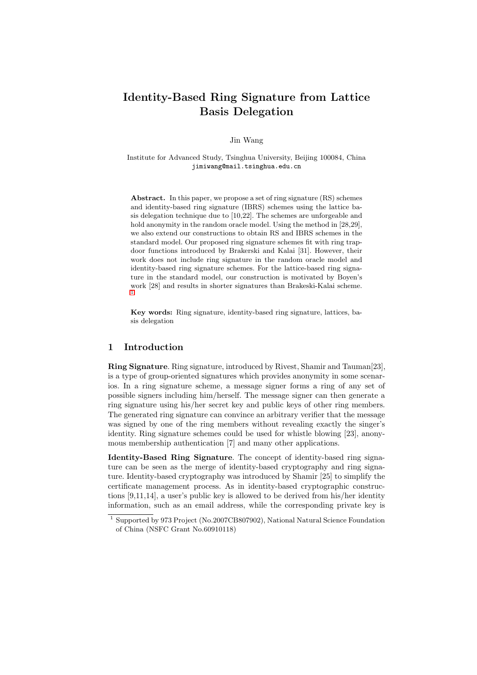# Identity-Based Ring Signature from Lattice Basis Delegation

Jin Wang

Institute for Advanced Study, Tsinghua University, Beijing 100084, China jimiwang@mail.tsinghua.edu.cn

Abstract. In this paper, we propose a set of ring signature (RS) schemes and identity-based ring signature (IBRS) schemes using the lattice basis delegation technique due to [10,22]. The schemes are unforgeable and hold anonymity in the random oracle model. Using the method in [28,29], we also extend our constructions to obtain RS and IBRS schemes in the standard model. Our proposed ring signature schemes fit with ring trapdoor functions introduced by Brakerski and Kalai [31]. However, their work does not include ring signature in the random oracle model and identity-based ring signature schemes. For the lattice-based ring signature in the standard model, our construction is motivated by Boyen's work [28] and results in shorter signatures than Brakeski-Kalai scheme. 1

Key words: Ring signature, identity-based ring signature, lattices, basis delegation

# 1 Introduction

Ring Signature. Ring signature, introduced by Rivest, Shamir and Tauman[23], is a type of group-oriented signatures which provides anonymity in some scenarios. In a ring signature scheme, a message signer forms a ring of any set of possible signers including him/herself. The message signer can then generate a ring signature using his/her secret key and public keys of other ring members. The generated ring signature can convince an arbitrary verifier that the message was signed by one of the ring members without revealing exactly the singer's identity. Ring signature schemes could be used for whistle blowing [23], anonymous membership authentication [7] and many other applications.

Identity-Based Ring Signature. The concept of identity-based ring signature can be seen as the merge of identity-based cryptography and ring signature. Identity-based cryptography was introduced by Shamir [25] to simplify the certificate management process. As in identity-based cryptographic constructions [9,11,14], a user's public key is allowed to be derived from his/her identity information, such as an email address, while the corresponding private key is

<sup>1</sup> Supported by 973 Project (No.2007CB807902), National Natural Science Foundation of China (NSFC Grant No.60910118)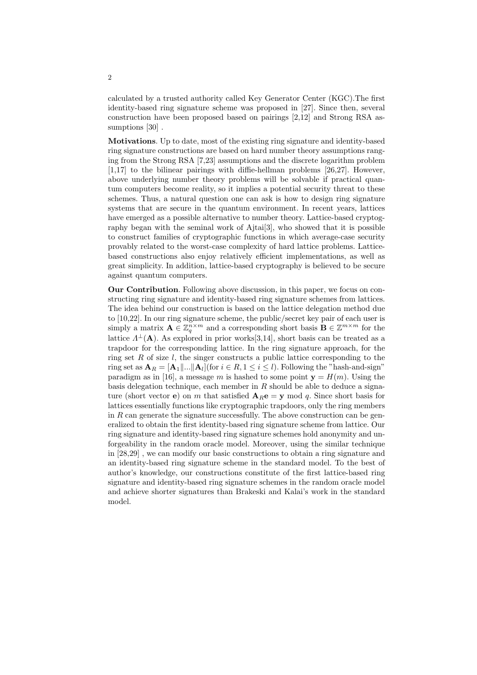calculated by a trusted authority called Key Generator Center (KGC).The first identity-based ring signature scheme was proposed in [27]. Since then, several construction have been proposed based on pairings [2,12] and Strong RSA assumptions [30].

Motivations. Up to date, most of the existing ring signature and identity-based ring signature constructions are based on hard number theory assumptions ranging from the Strong RSA [7,23] assumptions and the discrete logarithm problem [1,17] to the bilinear pairings with diffie-hellman problems [26,27]. However, above underlying number theory problems will be solvable if practical quantum computers become reality, so it implies a potential security threat to these schemes. Thus, a natural question one can ask is how to design ring signature systems that are secure in the quantum environment. In recent years, lattices have emerged as a possible alternative to number theory. Lattice-based cryptography began with the seminal work of Ajtai[3], who showed that it is possible to construct families of cryptographic functions in which average-case security provably related to the worst-case complexity of hard lattice problems. Latticebased constructions also enjoy relatively efficient implementations, as well as great simplicity. In addition, lattice-based cryptography is believed to be secure against quantum computers.

Our Contribution. Following above discussion, in this paper, we focus on constructing ring signature and identity-based ring signature schemes from lattices. The idea behind our construction is based on the lattice delegation method due to [10,22]. In our ring signature scheme, the public/secret key pair of each user is simply a matrix  $\mathbf{A} \in \mathbb{Z}_q^{n \times m}$  and a corresponding short basis  $\mathbf{B} \in \mathbb{Z}^{m \times m}$  for the lattice  $\Lambda^{\perp}(A)$ . As explored in prior works[3,14], short basis can be treated as a trapdoor for the corresponding lattice. In the ring signature approach, for the ring set R of size  $l$ , the singer constructs a public lattice corresponding to the ring set as  $\mathbf{A}_R = [\mathbf{A}_1 \mid \dots \mid \mid \mathbf{A}_l]$  (for  $i \in R, 1 \le i \le l$ ). Following the "hash-and-sign" paradigm as in [16], a message m is hashed to some point  $y = H(m)$ . Using the basis delegation technique, each member in  $R$  should be able to deduce a signature (short vector e) on m that satisfied  $A_{R}e = y \mod q$ . Since short basis for lattices essentially functions like cryptographic trapdoors, only the ring members in  $R$  can generate the signature successfully. The above construction can be generalized to obtain the first identity-based ring signature scheme from lattice. Our ring signature and identity-based ring signature schemes hold anonymity and unforgeability in the random oracle model. Moreover, using the similar technique in [28,29] , we can modify our basic constructions to obtain a ring signature and an identity-based ring signature scheme in the standard model. To the best of author's knowledge, our constructions constitute of the first lattice-based ring signature and identity-based ring signature schemes in the random oracle model and achieve shorter signatures than Brakeski and Kalai's work in the standard model.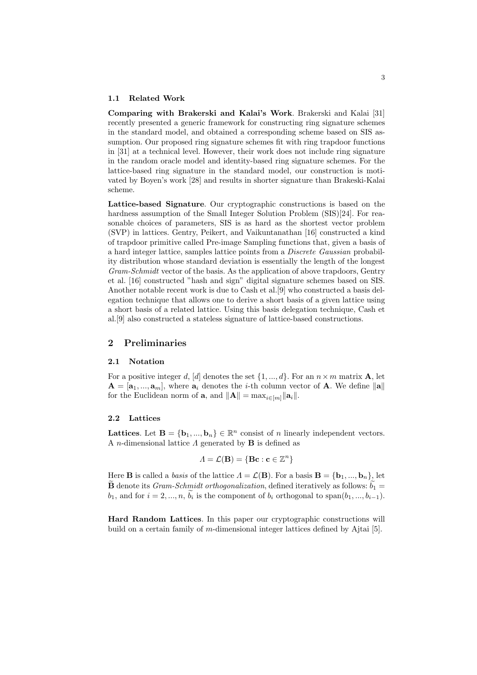#### 1.1 Related Work

Comparing with Brakerski and Kalai's Work. Brakerski and Kalai [31] recently presented a generic framework for constructing ring signature schemes in the standard model, and obtained a corresponding scheme based on SIS assumption. Our proposed ring signature schemes fit with ring trapdoor functions in [31] at a technical level. However, their work does not include ring signature in the random oracle model and identity-based ring signature schemes. For the lattice-based ring signature in the standard model, our construction is motivated by Boyen's work [28] and results in shorter signature than Brakeski-Kalai scheme.

Lattice-based Signature. Our cryptographic constructions is based on the hardness assumption of the Small Integer Solution Problem (SIS)[24]. For reasonable choices of parameters, SIS is as hard as the shortest vector problem (SVP) in lattices. Gentry, Peikert, and Vaikuntanathan [16] constructed a kind of trapdoor primitive called Pre-image Sampling functions that, given a basis of a hard integer lattice, samples lattice points from a Discrete Gaussian probability distribution whose standard deviation is essentially the length of the longest Gram-Schmidt vector of the basis. As the application of above trapdoors, Gentry et al. [16] constructed "hash and sign" digital signature schemes based on SIS. Another notable recent work is due to Cash et al.[9] who constructed a basis delegation technique that allows one to derive a short basis of a given lattice using a short basis of a related lattice. Using this basis delegation technique, Cash et al.[9] also constructed a stateless signature of lattice-based constructions.

# 2 Preliminaries

#### 2.1 Notation

For a positive integer d, [d] denotes the set  $\{1, ..., d\}$ . For an  $n \times m$  matrix **A**, let  $\mathbf{A} = [\mathbf{a}_1, ..., \mathbf{a}_m],$  where  $\mathbf{a}_i$  denotes the *i*-th column vector of **A**. We define  $\|\mathbf{a}\|$ for the Euclidean norm of **a**, and  $||\mathbf{A}|| = \max_{i \in [m]} ||\mathbf{a}_i||$ .

# 2.2 Lattices

Lattices. Let  $\mathbf{B} = \{\mathbf{b}_1, ..., \mathbf{b}_n\} \in \mathbb{R}^n$  consist of n linearly independent vectors. A *n*-dimensional lattice  $\Lambda$  generated by **B** is defined as

$$
\Lambda = \mathcal{L}(\mathbf{B}) = \{ \mathbf{B}\mathbf{c} : \mathbf{c} \in \mathbb{Z}^n \}
$$

Here **B** is called a *basis* of the lattice  $\Lambda = \mathcal{L}(\mathbf{B})$ . For a basis  $\mathbf{B} = {\mathbf{b}_1, ..., \mathbf{b}_n}$ , let  $\tilde{\mathbf{B}}$  denote its *Gram-Schmidt orthogonalization*, defined iteratively as follows:  $b_1 =$  $b_1$ , and for  $i = 2, ..., n$ ,  $\widetilde{b}_i$  is the component of  $b_i$  orthogonal to span $(b_1, ..., b_{i-1})$ .

Hard Random Lattices. In this paper our cryptographic constructions will build on a certain family of m-dimensional integer lattices defined by Ajtai [5].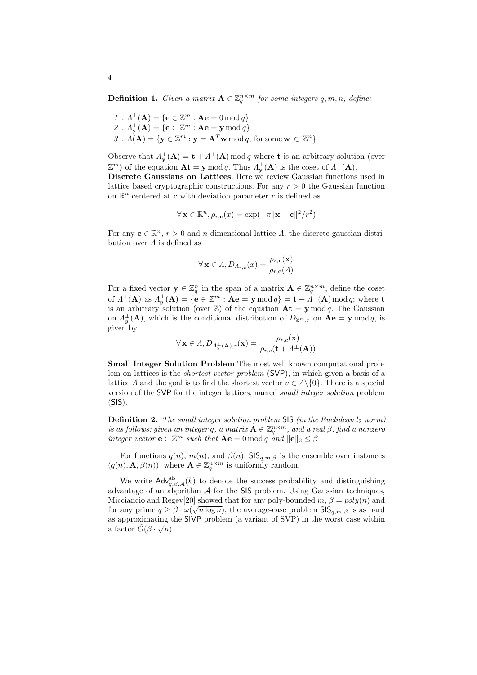**Definition 1.** Given a matrix  $A \in \mathbb{Z}_q^{n \times m}$  for some integers  $q, m, n$ , define:

1 .  $\Lambda^{\perp}(\mathbf{A}) = \{ \mathbf{e} \in \mathbb{Z}^m : \mathbf{A}\mathbf{e} = 0 \bmod q \}$ 2.  $\Lambda_{\mathbf{y}}^{\perp}(\mathbf{A}) = \{ \mathbf{e} \in \mathbb{Z}^m : \mathbf{A}\mathbf{e} = \mathbf{y} \bmod q \}$  $3$ .  $\Lambda(\mathbf{A}) = \{ \mathbf{y} \in \mathbb{Z}^m : \mathbf{y} = \mathbf{A}^T \mathbf{w} \bmod q, \text{ for some } \mathbf{w} \in \mathbb{Z}^n \}$ 

Observe that  $\Lambda_{\mathbf{y}}^{\perp}(\mathbf{A}) = \mathbf{t} + \Lambda^{\perp}(\mathbf{A}) \mod q$  where **t** is an arbitrary solution (over  $\mathbb{Z}^m$ ) of the equation  $\mathbf{At} = \mathbf{y} \mod q$ . Thus  $\Lambda^{\perp}_{\mathbf{y}}(\mathbf{A})$  is the coset of  $\Lambda^{\perp}(\mathbf{A})$ .

Discrete Gaussians on Lattices. Here we review Gaussian functions used in lattice based cryptographic constructions. For any  $r > 0$  the Gaussian function on  $\mathbb{R}^n$  centered at **c** with deviation parameter r is defined as

$$
\forall \mathbf{x} \in \mathbb{R}^n, \rho_{r,\mathbf{c}}(x) = \exp(-\pi \|\mathbf{x} - \mathbf{c}\|^2 / r^2)
$$

For any  $\mathbf{c} \in \mathbb{R}^n$ ,  $r > 0$  and *n*-dimensional lattice  $\Lambda$ , the discrete gaussian distribution over  $\Lambda$  is defined as

$$
\forall \mathbf{x} \in \Lambda, D_{\Lambda_{r,\mathbf{c}}}(x) = \frac{\rho_{r,\mathbf{c}}(\mathbf{x})}{\rho_{r,\mathbf{c}}(\Lambda)}
$$

For a fixed vector  $y \in \mathbb{Z}_q^n$  in the span of a matrix  $\mathbf{A} \in \mathbb{Z}_q^{n \times m}$ , define the coset of  $\Lambda^{\perp}(\mathbf{A})$  as  $\Lambda_y^{\perp}(\mathbf{A}) = \{ \mathbf{e} \in \mathbb{Z}^m : \mathbf{A}\mathbf{e} = \mathbf{y} \,\text{mod} \,q \} = \mathbf{t} + \Lambda^{\perp}(\mathbf{A}) \,\text{mod} \,q; \,\text{where } \mathbf{t}$ is an arbitrary solution (over  $\mathbb{Z}$ ) of the equation  $\mathbf{At} = \mathbf{y} \mod q$ . The Gaussian on  $\Lambda_y^{\perp}(\mathbf{A})$ , which is the conditional distribution of  $D_{\mathbb{Z}^m,r}$  on  $\mathbf{Ae} = \mathbf{y} \bmod q$ , is given by

$$
\forall\,\mathbf{x}\in A, D_{A_y^\perp(\mathbf{A}),r}(\mathbf{x})=\frac{\rho_{r,c}(\mathbf{x})}{\rho_{r,c}(\mathbf{t}+A^\perp(\mathbf{A}))}
$$

Small Integer Solution Problem The most well known computational problem on lattices is the shortest vector problem (SVP), in which given a basis of a lattice  $\Lambda$  and the goal is to find the shortest vector  $v \in \Lambda \setminus \{0\}$ . There is a special version of the SVP for the integer lattices, named small integer solution problem  $(SIS)$ .

**Definition 2.** The small integer solution problem SIS (in the Euclidean  $l_2$  norm) is as follows: given an integer q, a matrix  $\mathbf{A} \in \mathbb{Z}_q^{n \times m}$ , and a real  $\beta$ , find a nonzero integer vector  $\mathbf{e} \in \mathbb{Z}^m$  such that  $\mathbf{A}\mathbf{e} = 0 \bmod q$  and  $\|\mathbf{e}\|_2 \leq \beta$ 

For functions  $q(n)$ ,  $m(n)$ , and  $\beta(n)$ , SIS<sub>q,m, $\beta$ </sub> is the ensemble over instances  $(q(n), \mathbf{A}, \beta(n))$ , where  $\mathbf{A} \in \mathbb{Z}_q^{n \times m}$  is uniformly random.

We write  $\mathsf{Adv}_{q,\beta,\mathcal{A}}^{\text{sis}}(k)$  to denote the success probability and distinguishing advantage of an algorithm  $A$  for the SIS problem. Using Gaussian techniques, Micciancio and Regev[20] showed that for any poly-bounded  $m, \beta = poly(n)$  and for any prime  $q \geq \beta \cdot \omega(\sqrt{n \log n})$ , the average-case problem  $\text{SIS}_{q,m,\beta}$  is as hard as approximating the SIVP problem (a variant of SVP) in the worst case within a factor  $\tilde{O}(\beta \cdot \sqrt{n}).$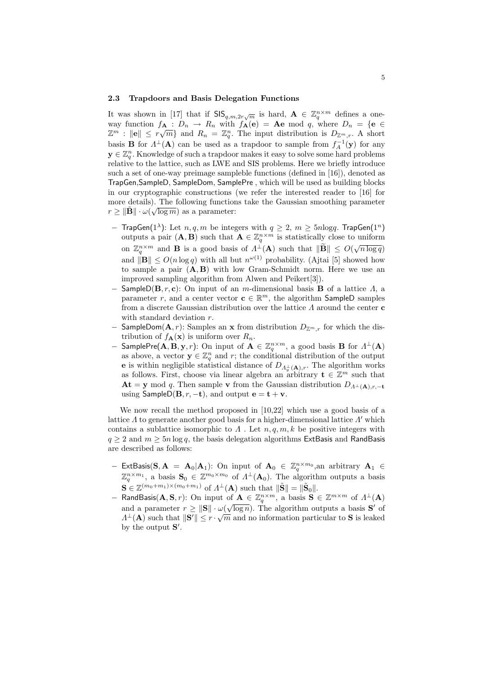#### 2.3 Trapdoors and Basis Delegation Functions

It was shown in [17] that if  $\text{SIS}_{q,m,2r\sqrt{m}}$  is hard,  $\mathbf{A} \in \mathbb{Z}_q^{n\times m}$  defines a oneway function  $f_{\mathbf{A}} : D_n \to R_n$  with  $f_{\mathbf{A}}(e) = \mathbf{A}e \mod q$ , where  $D_n = \{e \in$ way function  $J_{\mathbf{A}} : D_n \to R_n$  with  $J_{\mathbf{A}}(\mathbf{e}) = \mathbf{A}\mathbf{e}$  mod q, where  $D_n = \{ \mathbf{e} \in \mathbb{Z}^m : ||\mathbf{e}|| \leq r\sqrt{m} \}$  and  $R_n = \mathbb{Z}_q^n$ . The input distribution is  $D_{\mathbb{Z}^m,r}$ . A short basis **B** for  $\Lambda^{\perp}(A)$  can be used as a trapdoor to sample from  $f_A^{-1}(y)$  for any  $y \in \mathbb{Z}_q^n$ . Knowledge of such a trapdoor makes it easy to solve some hard problems relative to the lattice, such as LWE and SIS problems. Here we briefly introduce such a set of one-way preimage sampleble functions (defined in [16]), denoted as TrapGen,SampleD, SampleDom, SamplePre , which will be used as building blocks in our cryptographic constructions (we refer the interested reader to [16] for more details). The following functions take the Gaussian smoothing parameter  $r \geq \|\tilde{\mathbf{B}}\| \cdot \omega(\sqrt{\log m})$  as a parameter:

- − TrapGen(1<sup> $\lambda$ </sup>): Let *n*, *q*, *m* be integers with  $q \geq 2$ ,  $m \geq 5n \log q$ . TrapGen(1<sup>n</sup>) outputs a pair  $(\mathbf{A}, \mathbf{B})$  such that  $\mathbf{A} \in \mathbb{Z}_q^{n \times m}$  is statistically close to uniform on  $\mathbb{Z}_q^{n \times m}$  and **B** is a good basis of  $\Lambda^{\perp}(\mathbf{A})$  such that  $\|\widetilde{\mathbf{B}}\| \le O(\sqrt{n \log q})$ and  $\|\mathbf{B}\| \le O(n \log q)$  with all but  $n^{\omega(1)}$  probability. (Ajtai [5] showed how to sample a pair  $(A, B)$  with low Gram-Schmidt norm. Here we use an improved sampling algorithm from Alwen and Peikert[3]).
- $−$  SampleD(**B**, r, c): On input of an m-dimensional basis **B** of a lattice  $Λ$ , a parameter r, and a center vector  $\mathbf{c} \in \mathbb{R}^m$ , the algorithm SampleD samples from a discrete Gaussian distribution over the lattice  $\Lambda$  around the center **c** with standard deviation r.
- − SampleDom( $\mathbf{A}, r$ ): Samples an x from distribution  $D_{\mathbb{Z}^m,r}$  for which the distribution of  $f_{\mathbf{A}}(\mathbf{x})$  is uniform over  $R_n$ .
- $-$  SamplePre(A, B, y, r): On input of A ∈  $\mathbb{Z}_q^{n \times m}$ , a good basis B for  $\Lambda^{\perp}($ A) as above, a vector  $y \in \mathbb{Z}_q^n$  and r; the conditional distribution of the output **e** is within negligible statistical distance of  $D_{\Lambda_y^{\perp}}(A)$ , The algorithm works as follows. First, choose via linear algebra an arbitrary  $\mathbf{t} \in \mathbb{Z}^m$  such that **At** = y mod q. Then sample v from the Gaussian distribution  $D_{\Lambda^{\perp}}(A), r, -t$ using SampleD( $\mathbf{B}, r, -\mathbf{t}$ ), and output  $\mathbf{e} = \mathbf{t} + \mathbf{v}$ .

We now recall the method proposed in [10,22] which use a good basis of a lattice  $\Lambda$  to generate another good basis for a higher-dimensional lattice  $\Lambda'$  which contains a sublattice isomorphic to  $\Lambda$ . Let  $n, q, m, k$  be positive integers with  $q \ge 2$  and  $m \ge 5n \log q$ , the basis delegation algorithms ExtBasis and RandBasis are described as follows:

- − ExtBasis(S, A = A<sub>0</sub>|A<sub>1</sub>): On input of A<sub>0</sub> ∈  $\mathbb{Z}_q^{n \times m_0}$ , an arbitrary A<sub>1</sub> ∈  $\mathbb{Z}_q^{n \times m_1}$ , a basis  $\mathbf{S}_0 \in \mathbb{Z}^{m_0 \times m_0}$  of  $\Lambda^{\perp}(\mathbf{A}_0)$ . The algorithm outputs a basis  $\mathbf{S} \in \mathbb{Z}^{(m_0+m_1)\times(m_0+m_1)}$  of  $\Lambda^{\perp}(\mathbf{A})$  such that  $\|\tilde{\mathbf{S}}\| = \|\tilde{\mathbf{S}}_0\|$ .
- $-$  RandBasis(**A**, **S**, *r*): On input of **A** ∈  $\mathbb{Z}_q^{n \times m}$ , a basis **S** ∈  $\mathbb{Z}^{m \times m}$  of  $\Lambda^{\perp}$ (**A**) and a parameter  $r \ge ||S|| \cdot \omega(\sqrt{\log n})$ . The algorithm outputs a basis S' of  $\Lambda^{\perp}(\mathbf{A})$  such that  $\|\mathbf{S}'\| \leq r \cdot \sqrt{m}$  and no information particular to S is leaked by the output  $S'$ .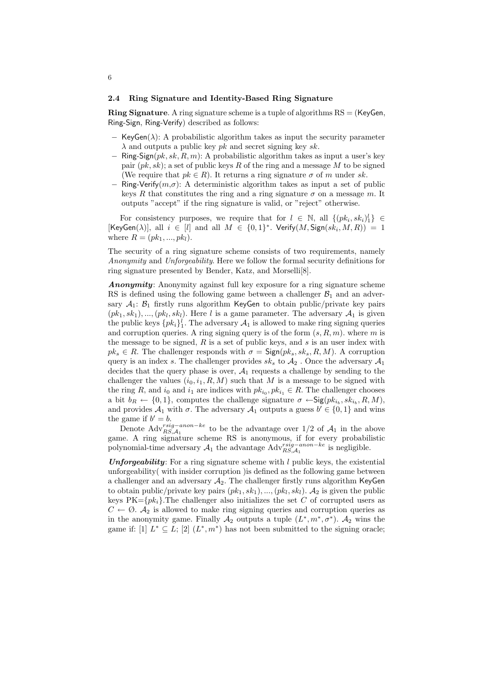#### 2.4 Ring Signature and Identity-Based Ring Signature

**Ring Signature.** A ring signature scheme is a tuple of algorithms  $RS = (KeyGen,$ Ring-Sign, Ring-Verify) described as follows:

- $-$  KeyGen( $\lambda$ ): A probabilistic algorithm takes as input the security parameter  $\lambda$  and outputs a public key *pk* and secret signing key *sk*.
- $-$  Ring-Sign( $pk, sk, R, m$ ): A probabilistic algorithm takes as input a user's key pair  $(pk, sk)$ ; a set of public keys R of the ring and a message M to be signed (We require that  $pk \in R$ ). It returns a ring signature  $\sigma$  of m under sk.
- $-$  Ring-Verify $(m, \sigma)$ : A deterministic algorithm takes as input a set of public keys R that constitutes the ring and a ring signature  $\sigma$  on a message m. It outputs "accept" if the ring signature is valid, or "reject" otherwise.

For consistency purposes, we require that for  $l \in \mathbb{N}$ , all  $\{(pk_i, sk_i)_{i}^{l}\}\in$ [KeyGen( $\lambda$ ], all  $i \in [l]$  and all  $M \in \{0,1\}^*$ . Verify $(M, \text{Sign}(sk_i, M, R)) = 1$ where  $R = (pk_1, ..., pk_l)$ .

The security of a ring signature scheme consists of two requirements, namely Anonymity and Unforgeability. Here we follow the formal security definitions for ring signature presented by Bender, Katz, and Morselli[8].

Anonymity: Anonymity against full key exposure for a ring signature scheme RS is defined using the following game between a challenger  $\mathcal{B}_1$  and an adversary  $A_1$ :  $B_1$  firstly runs algorithm KeyGen to obtain public/private key pairs  $(pk_1, sk_1), ..., (pk_l, sk_l)$ . Here l is a game parameter. The adversary  $\mathcal{A}_1$  is given the public keys  $\{pk_i\}_1^l$ . The adversary  $\mathcal{A}_1$  is allowed to make ring signing queries and corruption queries. A ring signing query is of the form  $(s, R, m)$ . where m is the message to be signed,  $R$  is a set of public keys, and  $s$  is an user index with  $pk_s \in R$ . The challenger responds with  $\sigma = \text{Sign}(pk_s, sk_s, R, M)$ . A corruption query is an index s. The challenger provides  $sk_s$  to  $A_2$ . Once the adversary  $A_1$ decides that the query phase is over,  $A_1$  requests a challenge by sending to the challenger the values  $(i_0, i_1, R, M)$  such that M is a message to be signed with the ring R, and  $i_0$  and  $i_1$  are indices with  $pk_{i_0}, pk_{i_1} \in R$ . The challenger chooses a bit  $b_R \leftarrow \{0,1\}$ , computes the challenge signature  $\sigma \leftarrow \mathsf{Sig}(pk_{i_b}, sk_{i_b}, R, M)$ , and provides  $A_1$  with  $\sigma$ . The adversary  $A_1$  outputs a guess  $b' \in \{0, 1\}$  and wins the game if  $b' = b$ .

Denote  $\text{Adv}_{RS,A_1}^{rsig-anon-ke}$  to be the advantage over 1/2 of  $A_1$  in the above game. A ring signature scheme RS is anonymous, if for every probabilistic polynomial-time adversary  $A_1$  the advantage Adv ${}^{rsig-anon-ke}_{RS,A_1}$  is negligible.

**Unforgeability:** For a ring signature scheme with  $l$  public keys, the existential unforgeability( with insider corruption )is defined as the following game between a challenger and an adversary  $A_2$ . The challenger firstly runs algorithm KeyGen to obtain public/private key pairs  $(pk_1, sk_1), ..., (pk_l, sk_l)$ .  $\mathcal{A}_2$  is given the public keys  $PK={pk_i}$ . The challenger also initializes the set C of corrupted users as  $C \leftarrow \emptyset$ .  $\mathcal{A}_2$  is allowed to make ring signing queries and corruption queries as in the anonymity game. Finally  $\mathcal{A}_2$  outputs a tuple  $(L^*, m^*, \sigma^*)$ .  $\mathcal{A}_2$  wins the game if: [1]  $L^* \subseteq L$ ; [2]  $(L^*, m^*)$  has not been submitted to the signing oracle;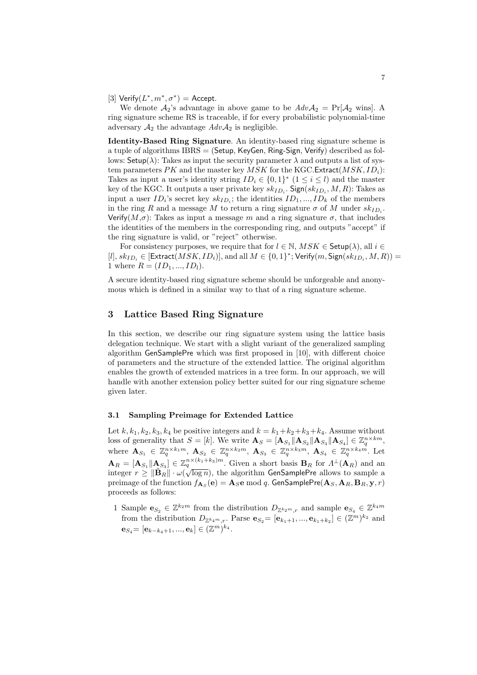[3] Verify $(L^*, m^*, \sigma^*)$  = Accept.

We denote  $A_2$ 's advantage in above game to be  $AdvA_2 = Pr[A_2 \text{ wins}]$ . A ring signature scheme RS is traceable, if for every probabilistic polynomial-time adversary  $A_2$  the advantage  $AdvA_2$  is negligible.

Identity-Based Ring Signature. An identity-based ring signature scheme is a tuple of algorithms  $IBRS = (Setup, KeyGen, Ring-Sign, Verify)$  described as follows:  $\mathsf{Setup}(\lambda)$ : Takes as input the security parameter  $\lambda$  and outputs a list of system parameters PK and the master key MSK for the KGC.Extract( $MSK$ ,  $ID_i$ ): Takes as input a user's identity string  $ID_i \in \{0,1\}^*$   $(1 \leq i \leq l)$  and the master key of the KGC. It outputs a user private key  $sk_{ID_i}$ .  $\mathsf{Sign}(sk_{ID_i}, M, R)$ : Takes as input a user  $ID_i$ 's secret key  $sk_{ID_i}$ ; the identities  $ID_1, ..., ID_k$  of the members in the ring R and a message M to return a ring signature  $\sigma$  of M under  $sk_{ID_i}$ . Verify( $M,\sigma$ ): Takes as input a message m and a ring signature  $\sigma$ , that includes the identities of the members in the corresponding ring, and outputs "accept" if the ring signature is valid, or "reject" otherwise.

For consistency purposes, we require that for  $l \in \mathbb{N}$ ,  $MSK \in$  Setup( $\lambda$ ), all  $i \in$  $[l], sk_{ID_i} \in [Extract(MSK, ID_i)],$  and all  $M \in \{0, 1\}^*$ ; Verify $(m, Sign(sk_{ID_i}, M, R)) =$ 1 where  $R = (ID_1, ..., ID_l)$ .

A secure identity-based ring signature scheme should be unforgeable and anonymous which is defined in a similar way to that of a ring signature scheme.

# 3 Lattice Based Ring Signature

In this section, we describe our ring signature system using the lattice basis delegation technique. We start with a slight variant of the generalized sampling algorithm GenSamplePre which was first proposed in [10], with different choice of parameters and the structure of the extended lattice. The original algorithm enables the growth of extended matrices in a tree form. In our approach, we will handle with another extension policy better suited for our ring signature scheme given later.

## 3.1 Sampling Preimage for Extended Lattice

Let k,  $k_1, k_2, k_3, k_4$  be positive integers and  $k = k_1 + k_2 + k_3 + k_4$ . Assume without loss of generality that  $S = [k]$ . We write  $\mathbf{A}_S = [\mathbf{A}_{S_1} || \mathbf{A}_{S_2} || \mathbf{A}_{S_3} || \mathbf{A}_{S_4}] \in \mathbb{Z}_q^{n \times km}$ , where  $\mathbf{A}_{S_1} \in \mathbb{Z}_q^{n \times k_1 m}$ ,  $\mathbf{A}_{S_2} \in \mathbb{Z}_q^{n \times k_2 m}$ ,  $\mathbf{A}_{S_3} \in \mathbb{Z}_q^{n \times k_3 m}$ ,  $\mathbf{A}_{S_4} \in \mathbb{Z}_q^{n \times k_4 m}$ . Let  $\mathbf{A}_R = [\mathbf{A}_{S_1} || \mathbf{A}_{S_3}] \in \mathbb{Z}_q^{n \times (k_1+k_3)m}$ . Given a short basis  $\mathbf{B}_R$  for  $\Lambda^{\perp}(\mathbf{A}_R)$  and an integer  $r \ge ||\tilde{\mathbf{B}}_R|| \cdot \omega(\sqrt{\log n})$ , the algorithm GenSamplePre allows to sample a preimage of the function  $f_{\mathbf{A}_S}(\mathbf{e})=\mathbf{A}_S\mathbf{e} \bmod q.$  GenSamplePre $(\mathbf{A}_S,\mathbf{A}_R,\mathbf{B}_R,\mathbf{y},r)$ proceeds as follows:

1 Sample  $\mathbf{e}_{S_2} \in \mathbb{Z}^{k_2 m}$  from the distribution  $D_{\mathbb{Z}^{k_2 m},r}$  and sample  $\mathbf{e}_{S_4} \in \mathbb{Z}^{k_4 m}$ from the distribution  $D_{\mathbb{Z}^{k_4m},r}$ . Parse  $\mathbf{e}_{S_2} = [\mathbf{e}_{k_1+1},...,\mathbf{e}_{k_1+k_2}] \in (\mathbb{Z}^m)^{k_2}$  and  ${\bf e}_{S_4} \!\!=\! [{\bf e}_{k-k_4+1},...,{\bf e}_{k}] \in (\mathbb{Z}^{m})^{k_4}.$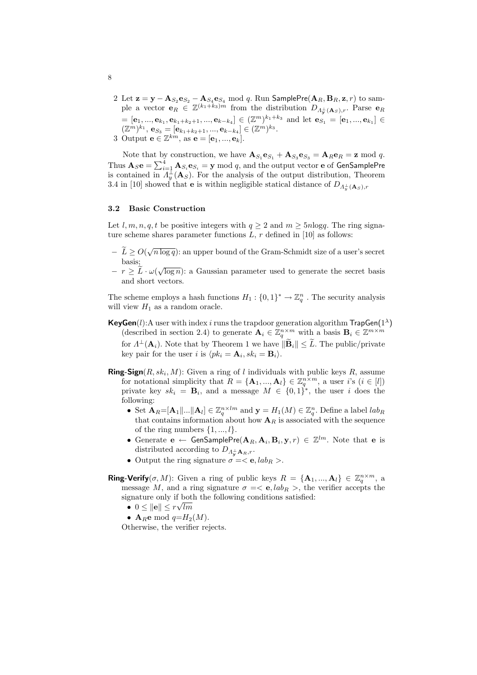2 Let  $\mathbf{z} = \mathbf{y} - \mathbf{A}_{S_2} \mathbf{e}_{S_2} - \mathbf{A}_{S_4} \mathbf{e}_{S_4} \bmod q$ . Run SamplePre $(\mathbf{A}_R, \mathbf{B}_R, \mathbf{z}, r)$  to sample a vector  $\mathbf{e}_R \in \mathbb{Z}^{(k_1+k_3)m}$  from the distribution  $D_{A_{\mathbf{y}}^{\perp}(\mathbf{A}_S),r}$ . Parse  $\mathbf{e}_R$  $=[{\bf e}_1,...,{\bf e}_{k_1},{\bf e}_{k_1+k_2+1},...,{\bf e}_{k-k_4}]\in (\mathbb{Z}^m)^{k_1+k_3}$  and let  ${\bf e}_{S_1}=[{\bf e}_1,...,{\bf e}_{k_1}]\in$  $(\mathbb{Z}^m)^{k_1}, \mathbf{e}_{S_3} = [\mathbf{e}_{k_1+k_2+1}, ..., \mathbf{e}_{k-k_4}] \in (\mathbb{Z}^m)^{k_3}.$ 

3 Output  $\mathbf{e} \in \mathbb{Z}^{km}$ , as  $\mathbf{e} = [\mathbf{e}_1, ..., \mathbf{e}_k]$ .

Note that by construction, we have  $\mathbf{A}_{S_1} \mathbf{e}_{S_1} + \mathbf{A}_{S_3} \mathbf{e}_{S_3} = \mathbf{A}_R \mathbf{e}_R = \mathbf{z} \mod q$ . Thus  $\mathbf{A}_S \mathbf{e} = \sum_{i=1}^4 \mathbf{A}_{S_i} \mathbf{e}_{S_i} = \mathbf{y} \bmod q$ , and the output vector **e** of GenSamplePre is contained in  $\Lambda_y^{\perp}(\mathbf{A}_S)$ . For the analysis of the output distribution, Theorem 3.4 in [10] showed that **e** is within negligible statical distance of  $D_{\Lambda_y^{\perp}}(A_s)$ ,

## 3.2 Basic Construction

Let l, m, n, q, t be positive integers with  $q \ge 2$  and  $m \ge 5n \log q$ . The ring signature scheme shares parameter functions  $L, r$  defined in [10] as follows:

- $-\tilde{L} \geq O(\sqrt{n \log q})$ : an upper bound of the Gram-Schmidt size of a user's secret basis;
- $\bar{r} r \geq \overline{L} \cdot \omega(\sqrt{\log n})$ : a Gaussian parameter used to generate the secret basis and short vectors.

The scheme employs a hash functions  $H_1: \{0,1\}^* \to \mathbb{Z}_q^n$ . The security analysis will view  $H_1$  as a random oracle.

- **KeyGen**(l): A user with index i runs the trapdoor generation algorithm  $\mathsf{TrapGen}(1^{\lambda})$ (described in section 2.4) to generate  $\mathbf{A}_i \in \mathbb{Z}_q^{n \times m}$  with a basis  $\mathbf{B}_i \in \mathbb{Z}^{m \times m}$ for  $\Lambda^{\perp}(\mathbf{A}_i)$ . Note that by Theorem 1 we have  $\|\widetilde{\mathbf{B}}_i\| \leq \widetilde{L}$ . The public/private key pair for the user i is  $\langle pk_i = \mathbf{A}_i, sk_i = \mathbf{B}_i \rangle$ .
- **Ring-Sign** $(R, sk_i, M)$ : Given a ring of l individuals with public keys R, assume for notational simplicity that  $R = {\mathbf{A}_1, ..., \mathbf{A}_l} \in \mathbb{Z}_q^{n \times m}$ , a user i's  $(i \in [l])$ private key  $sk_i = \mathbf{B}_i$ , and a message  $M \in \{0,1\}^*$ , the user i does the following:
	- Set  $\mathbf{A}_R = [\mathbf{A}_1 | ... | \mathbf{A}_l] \in \mathbb{Z}_q^{n \times lm}$  and  $\mathbf{y} = H_1(M) \in \mathbb{Z}_q^n$ . Define a label  $lab_R$ that contains information about how  $A_R$  is associated with the sequence of the ring numbers  $\{1, ..., l\}$ .
	- Generate  $e \leftarrow$  GenSamplePre $(A_R, A_i, B_i, y, r) \in \mathbb{Z}^{lm}$ . Note that e is distributed according to  $D_{\Lambda_{\mathbf{v}}^{\perp} \mathbf{A}_R,r}$ .
	- Output the ring signature  $\sigma = \langle e, lab_R \rangle$ .

**Ring-Verify** $(\sigma, M)$ : Given a ring of public keys  $R = {\mathbf{A}_1, ..., \mathbf{A}_l} \in \mathbb{Z}_q^{n \times m}$ , a message M, and a ring signature  $\sigma = \langle e, lab_R \rangle$ , the verifier accepts the signature only if both the following conditions satisfied:

- $0 \leq ||{\bf e}|| \leq r \sqrt{lm}$
- A<sub>R</sub>e mod  $q=H_2(M)$ .

Otherwise, the verifier rejects.

8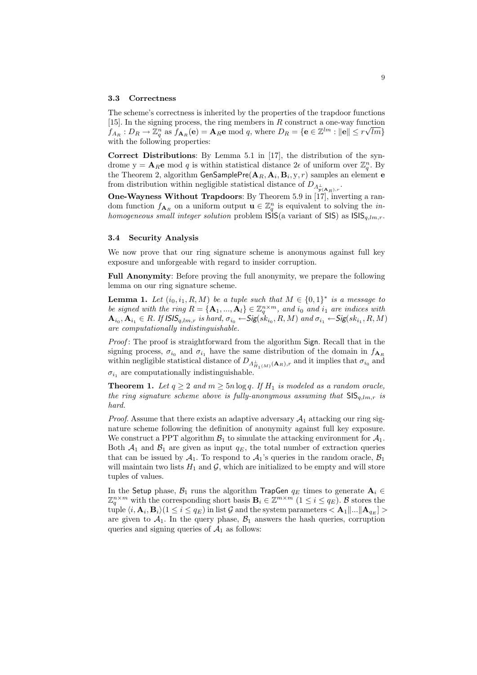#### 3.3 Correctness

The scheme's correctness is inherited by the properties of the trapdoor functions [15]. In the signing process, the ring members in  $R$  construct a one-way function  $f_{A_R}: D_R \to \mathbb{Z}_q^n$  as  $f_{\mathbf{A}_R}(\mathbf{e}) = \mathbf{A}_R \mathbf{e} \bmod q$ , where  $D_R = \{ \mathbf{e} \in \mathbb{Z}^{lm} : ||\mathbf{e}|| \leq r\sqrt{lm} \}$ with the following properties:

Correct Distributions: By Lemma 5.1 in [17], the distribution of the syndrome  $y = A_R e$  mod q is within statistical distance  $2\epsilon$  of uniform over  $\mathbb{Z}_q^n$ . By the Theorem 2, algorithm  $\mathsf{GenSamplePre}(\mathbf{A}_R,\mathbf{A}_i,\mathbf{B}_i,\mathrm{y},r)$  samples an element  $\mathbf e$ from distribution within negligible statistical distance of  $D_{\varLambda_{\mathbf{y}(\mathbf{A}_R),r}^{\bot}}.$ 

One-Wayness Without Trapdoors: By Theorem 5.9 in [17], inverting a random function  $f_{\mathbf{A}_R}$  on a uniform output  $\mathbf{u} \in \mathbb{Z}_q^n$  is equivalent to solving the *in*homogeneous small integer solution problem  $\mathsf{ISIS}(a)$  variant of  $\mathsf{SIS}(a)$  as  $\mathsf{ISS}_{q,lm,r}$ .

### 3.4 Security Analysis

We now prove that our ring signature scheme is anonymous against full key exposure and unforgeable with regard to insider corruption.

Full Anonymity: Before proving the full anonymity, we prepare the following lemma on our ring signature scheme.

**Lemma 1.** Let  $(i_0, i_1, R, M)$  be a tuple such that  $M \in \{0, 1\}^*$  is a message to be signed with the ring  $R = {\mathbf{A}_1, ..., \mathbf{A}_l} \in \mathbb{Z}_q^{n \times m}$ , and  $i_0$  and  $i_1$  are indices with  $\mathbf{A}_{i_0}, \mathbf{A}_{i_1} \in R$ . If  $\mathsf{ISS}_{q,lm,r}$  is hard,  $\sigma_{i_0} \leftarrow \mathsf{Sig}(s k_{i_0}, R, M)$  and  $\sigma_{i_1} \leftarrow \mathsf{Sig}(s k_{i_1}, R, M)$ are computationally indistinguishable.

Proof: The proof is straightforward from the algorithm Sign. Recall that in the signing process,  $\sigma_{i_0}$  and  $\sigma_{i_1}$  have the same distribution of the domain in  $f_{A_R}$ within negligible statistical distance of  $D_{A_{H_1(M)}^{\perp}(\mathbf{A}_R),r}$  and it implies that  $\sigma_{i_0}$  and  $\sigma_{i_1}$  are computationally indistinguishable.

**Theorem 1.** Let  $q \ge 2$  and  $m \ge 5n \log q$ . If  $H_1$  is modeled as a random oracle, the ring signature scheme above is fully-anonymous assuming that  $\text{SIS}_{q,lm,r}$  is hard.

*Proof.* Assume that there exists an adaptive adversary  $A_1$  attacking our ring signature scheme following the definition of anonymity against full key exposure. We construct a PPT algorithm  $\mathcal{B}_1$  to simulate the attacking environment for  $\mathcal{A}_1$ . Both  $A_1$  and  $B_1$  are given as input  $q_E$ , the total number of extraction queries that can be issued by  $A_1$ . To respond to  $A_1$ 's queries in the random oracle,  $B_1$ will maintain two lists  $H_1$  and  $\mathcal{G}$ , which are initialized to be empty and will store tuples of values.

In the Setup phase,  $\mathcal{B}_1$  runs the algorithm TrapGen  $q_E$  times to generate  $\mathbf{A}_i \in$  $\mathbb{Z}_q^{n \times m}$  with the corresponding short basis  $\mathbf{B}_i \in \mathbb{Z}^{m \times m}$   $(1 \leq i \leq q_E)$ . B stores the  $\text{tuple }(i, \mathbf{A}_i, \mathbf{B}_i)(1 \leq i \leq q_E) \text{ in list } \mathcal{G} \text{ and the system parameters } < \mathbf{A}_1 \| ... \| \mathbf{A}_{q_E} ] >$ are given to  $A_1$ . In the query phase,  $B_1$  answers the hash queries, corruption queries and signing queries of  $A_1$  as follows: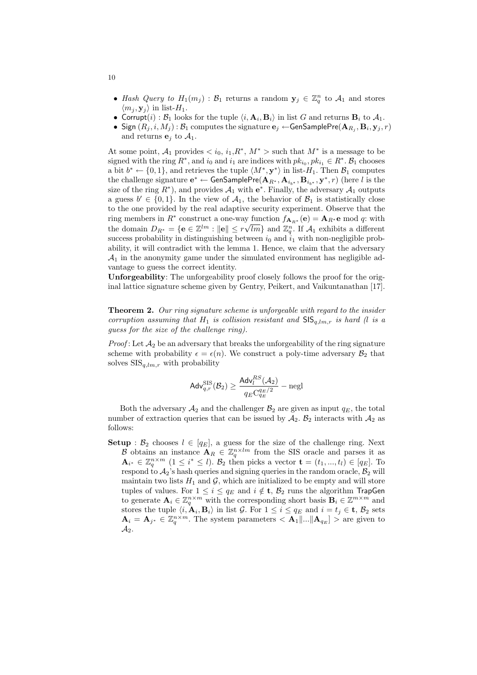- Hash Query to  $H_1(m_j)$ :  $\mathcal{B}_1$  returns a random  $\mathbf{y}_j \in \mathbb{Z}_q^n$  to  $\mathcal{A}_1$  and stores  $\langle m_j, \mathbf{y}_j \rangle$  in list- $H_1$ .
- Corrupt(i):  $B_1$  looks for the tuple  $\langle i, A_i, B_i \rangle$  in list G and returns  $B_i$  to  $A_1$ .
- $\bullet~$  Sign  $(R_j,i,M_j)$  :  $\mathcal{B}_1$  computes the signature  $\mathbf{e}_j \leftarrow$  GenSamplePre $(\mathbf{A}_{R_j}, \mathbf{B}_i, \mathbf{y}_j, r)$ and returns  $e_i$  to  $A_1$ .

At some point,  $A_1$  provides  $\langle i_0, i_1, R^*, M^* \rangle$  such that  $M^*$  is a message to be signed with the ring  $R^*$ , and  $i_0$  and  $i_1$  are indices with  $pk_{i_0}, pk_{i_1} \in R^*$ .  $\mathcal{B}_1$  chooses a bit  $b^* \leftarrow \{0, 1\}$ , and retrieves the tuple  $\langle M^*, \mathbf{y}^* \rangle$  in list- $H_1$ . Then  $\mathcal{B}_1$  computes the challenge signature  $e^* \leftarrow \mathsf{GenSamplePre}(\mathbf{A}_{R^*}, \mathbf{A}_{i_{b^*}}, \mathbf{B}_{i_{b^*}}, \mathbf{y}^*, r)$  (here  $l$  is the size of the ring  $R^*$ ), and provides  $\mathcal{A}_1$  with  $e^*$ . Finally, the adversary  $\mathcal{A}_1$  outputs a guess  $b' \in \{0,1\}$ . In the view of  $\mathcal{A}_1$ , the behavior of  $\mathcal{B}_1$  is statistically close to the one provided by the real adaptive security experiment. Observe that the ring members in  $R^*$  construct a one-way function  $f_{\mathbf{A}_{R^*}}(\mathbf{e}) = \mathbf{A}_{R^*}\mathbf{e} \bmod q$ : with the domain  $D_{R^*} = \{ e \in \mathbb{Z}^{lm} : ||e|| \leq r\sqrt{lm} \}$  and  $\mathbb{Z}_q^n$ . If  $\mathcal{A}_1$  exhibits a different success probability in distinguishing between  $i_0$  and  $i_1$  with non-negligible probability, it will contradict with the lemma 1. Hence, we claim that the adversary  $A_1$  in the anonymity game under the simulated environment has negligible advantage to guess the correct identity.

Unforgeability: The unforgeability proof closely follows the proof for the original lattice signature scheme given by Gentry, Peikert, and Vaikuntanathan [17].

Theorem 2. Our ring signature scheme is unforgeable with regard to the insider corruption assuming that  $H_1$  is collision resistant and  $\text{SIS}_{a,lm,r}$  is hard (l is a guess for the size of the challenge ring).

*Proof*: Let  $\mathcal{A}_2$  be an adversary that breaks the unforgeability of the ring signature scheme with probability  $\epsilon = \epsilon(n)$ . We construct a poly-time adversary  $\mathcal{B}_2$  that solves  $SIS_{q,lm,r}$  with probability

$$
\mathsf{Adv}_{q,r}^{\text{SIS}}(\mathcal{B}_2) \geq \frac{\mathsf{Adv}_l^{RS}(\mathcal{A}_2)}{q_E C_{q_E}^{q_E/2}} - \text{negl}
$$

Both the adversary  $\mathcal{A}_2$  and the challenger  $\mathcal{B}_2$  are given as input  $q_E$ , the total number of extraction queries that can be issued by  $A_2$ .  $B_2$  interacts with  $A_2$  as follows:

**Setup** :  $\mathcal{B}_2$  chooses  $l \in [q_E]$ , a guess for the size of the challenge ring. Next B obtains an instance  $\mathbf{A}_R \in \mathbb{Z}_q^{n \times lm}$  from the SIS oracle and parses it as  $\mathbf{A}_{i^*} \in \mathbb{Z}_q^{n \times m}$   $(1 \leq i^* \leq l)$ .  $\mathcal{B}_2$  then picks a vector  $\mathbf{t} = (t_1, ..., t_l) \in [q_E]$ . To respond to  $A_2$ 's hash queries and signing queries in the random oracle,  $B_2$  will maintain two lists  $H_1$  and  $\mathcal{G}$ , which are initialized to be empty and will store tuples of values. For  $1 \leq i \leq q_E$  and  $i \notin \mathbf{t}$ ,  $\mathcal{B}_2$  runs the algorithm TrapGen to generate  $\mathbf{A}_i \in \mathbb{Z}_q^{n \times m}$  with the corresponding short basis  $\mathbf{B}_i \in \mathbb{Z}^{m \times m}$  and stores the tuple  $\langle i, \mathbf{A}_i, \mathbf{B}_i \rangle$  in list G. For  $1 \leq i \leq q_E$  and  $i = t_j \in \mathbf{t}, \mathcal{B}_2$  sets  $\mathbf{A}_i = \mathbf{A}_{j^*} \in \mathbb{Z}_q^{n \times m}$ . The system parameters  $\langle \mathbf{A}_1 | ... | \mathbf{A}_{q_E} | \rangle$  are given to  $\mathcal{A}_2$ .

10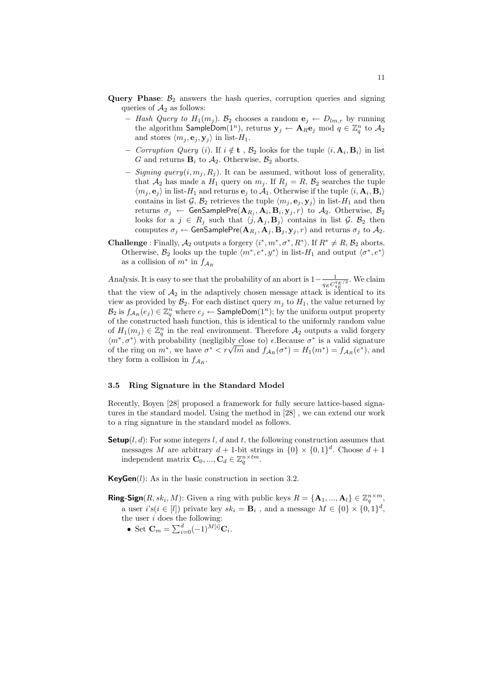- **Query Phase:**  $\mathcal{B}_2$  answers the hash queries, corruption queries and signing queries of  $A_2$  as follows:
	- − Hash Query to  $H_1(m_j)$ .  $\mathcal{B}_2$  chooses a random  $\mathbf{e}_j \leftarrow D_{lm,r}$  by running the algorithm <code>SampleDom(1</code><sup>n</sup>), returns  $\mathbf{y}_j \leftarrow \mathbf{A}_R \mathbf{e}_j \bmod q \in \mathbb{Z}_q^n$  to  $\mathcal{A}_2$ and stores  $\langle m_j, \mathbf{e}_j, \mathbf{y}_j \rangle$  in list- $H_1$ .
	- − Corruption Query (i). If  $i \notin t$ ,  $\mathcal{B}_2$  looks for the tuple  $\langle i, \mathbf{A}_i, \mathbf{B}_i \rangle$  in list G and returns  $\mathbf{B}_i$  to  $\mathcal{A}_2$ . Otherwise,  $\mathcal{B}_2$  aborts.
	- $-$  Signing query(i,  $m_i, R_i$ ). It can be assumed, without loss of generality, that  $A_2$  has made a  $H_1$  query on  $m_j$ . If  $R_j = R$ ,  $\mathcal{B}_2$  searches the tuple  $\langle m_j, \mathbf{e}_j \rangle$  in list- $H_1$  and returns  $\mathbf{e}_j$  to  $\mathcal{A}_1$ . Otherwise if the tuple  $\langle i, \mathbf{A}_i, \mathbf{B}_i \rangle$ contains in list G,  $\mathcal{B}_2$  retrieves the tuple  $\langle m_j , \mathbf{e}_j , \mathbf{y}_j \rangle$  in list-H<sub>1</sub> and then returns  $\sigma_j$   $\leftarrow$  GenSamplePre $(\mathbf{A}_{R_j}, \mathbf{A}_i, \mathbf{B}_i, \mathbf{y}_j, r)$  to  $\mathcal{A}_2$ . Otherwise,  $\mathcal{B}_2$ looks for a  $j \in R_j$  such that  $\langle j, \mathbf{A}_j, \mathbf{B}_j \rangle$  contains in list G.  $\mathcal{B}_2$  then computes  $\sigma_j \leftarrow$  GenSamplePre $(\mathbf{A}_{R_j}, \mathbf{A}_j, \mathbf{B}_j, \mathbf{y}_j, r)$  and returns  $\sigma_j$  to  $\mathcal{A}_2.$
- **Challenge**: Finally,  $A_2$  outputs a forgery  $\langle i^*, m^*, \sigma^*, R^* \rangle$ . If  $R^* \neq R$ ,  $\mathcal{B}_2$  aborts. Otherwise,  $\mathcal{B}_2$  looks up the tuple  $\langle m^*, e^*, y^* \rangle$  in list- $H_1$  and output  $\langle \sigma^*, e^* \rangle$ as a collision of  $m^*$  in  $f_{\mathcal{A}_R}$

Analysis. It is easy to see that the probability of an abort is  $1-\frac{1}{\sigma^2}$  $\frac{1}{q_E C_{q_E}^{q_E/2}}$ . We claim that the view of  $A_2$  in the adaptively chosen message attack is identical to its view as provided by  $\mathcal{B}_2$ . For each distinct query  $m_j$  to  $H_1$ , the value returned by  $\mathcal{B}_2$  is  $f_{\mathcal{A}_R}(e_j) \in \mathbb{Z}_q^n$  where  $e_j \leftarrow$  SampleDom $(1^n)$ ; by the uniform output property of the constructed hash function, this is identical to the uniformly random value of  $H_1(m_j) \in \mathbb{Z}_q^n$  in the real environment. Therefore  $\mathcal{A}_2$  outputs a valid forgery  $\langle m^*, \sigma^* \rangle$  with probability (negligibly close to)  $\epsilon$ . Because  $\sigma^*$  is a valid signature  $\langle m^*, \sigma^* \rangle$  with probability (negligibly close to)  $\epsilon$ . Because  $\sigma^*$  is a valid signature of the ring on  $m^*$ , we have  $\sigma^* < r\sqrt{lm}$  and  $f_{A_R}(\sigma^*) = H_1(m^*) = f_{A_R}(e^*)$ , and they form a collision in  $f_{A_R}$ .

## 3.5 Ring Signature in the Standard Model

Recently, Boyen [28] proposed a framework for fully secure lattice-based signatures in the standard model. Using the method in [28] , we can extend our work to a ring signature in the standard model as follows.

**Setup**( $l, d$ ): For some integers  $l, d$  and  $t$ , the following construction assumes that messages M are arbitrary  $d+1$ -bit strings in  $\{0\} \times \{0,1\}^d$ . Choose  $d+1$ independent matrix  $\mathbf{C}_0, ..., \mathbf{C}_d \in \mathbb{Z}_q^{n \times tm}$ .

**KeyGen** $(l)$ : As in the basic construction in section 3.2.

- **Ring-Sign**( $R, sk_i, M$ ): Given a ring with public keys  $R = {\mathbf{A}_1, ..., \mathbf{A}_l} \in \mathbb{Z}_q^{n \times m}$ , a user  $i$ 's $(i \in [l])$  private key  $sk_i = \mathbf{B}_i$ , and a message  $M \in \{0\} \times \{0,1\}^d$ , the user  $i$  does the following:
	- Set  $C_m = \sum_{i=0}^{d} (-1)^{M[i]} C_i$ .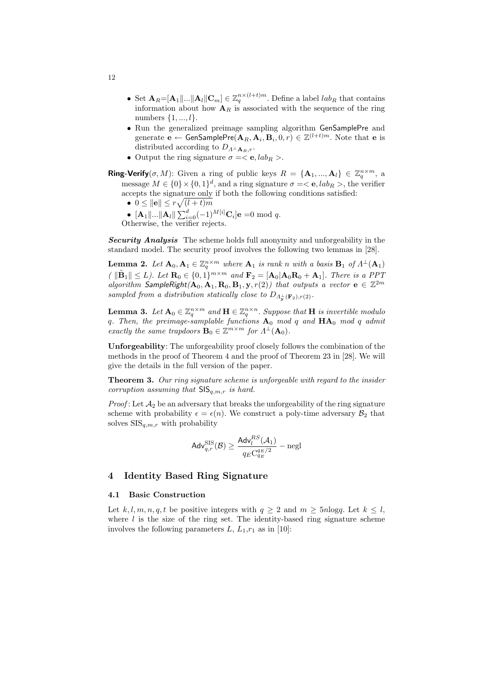- Set  $\mathbf{A}_R = [\mathbf{A}_1 | ... | \mathbf{A}_l | \mathbf{C}_m] \in \mathbb{Z}_q^{n \times (l+t)m}$ . Define a label  $lab_R$  that contains information about how  $A_R$  is associated with the sequence of the ring numbers  $\{1, ..., l\}$ .
- Run the generalized preimage sampling algorithm GenSamplePre and generate  $\mathbf{e}\leftarrow \mathsf{GenSamplePre}(\mathbf{A}_R,\mathbf{A}_i,\mathbf{B}_i,0,r)\in\mathbb{Z}^{(l+t)m}.$  Note that  $\mathbf{e}$  is distributed according to  $D_{A^{\perp} A_{B},r}$ .
- Output the ring signature  $\sigma = \langle e, lab_R \rangle$ .
- **Ring-Verify** $(\sigma, M)$ : Given a ring of public keys  $R = {\bf{A}_1, ..., A_1} \in \mathbb{Z}_q^{n \times m}$ , a message  $M \in \{0\} \times \{0,1\}^d$ , and a ring signature  $\sigma = \langle e, lab_R \rangle$ , the verifier accepts the signature only if both the following conditions satisfied:
	- $0 \leq ||{\bf e}|| \leq r \sqrt{(l+t)m}$
	- $\sum_{i=0}^{\infty}$   $\sum_{i=0}^{\infty}$   $\sum_{i=0}^{\infty}$   $(-1)^{M[i]}$ **C**<sub>i</sub>]**e** =0 mod *q*.
	- Otherwise, the verifier rejects.

Security Analysis The scheme holds full anonymity and unforgeability in the standard model. The security proof involves the following two lemmas in [28].

**Lemma 2.** Let  $A_0, A_1 \in \mathbb{Z}_q^{n \times m}$  where  $A_1$  is rank n with a basis  $B_1$  of  $\Lambda^{\perp}(A_1)$  $\mathcal{L} \setminus \|\tilde{\mathbf{B}}_1\| \leq L$ ). Let  $\mathbf{R}_0 \in \{0, 1\}^{m \times m}$  and  $\mathbf{F}_2 = [\mathbf{A}_0 | \mathbf{A}_0 \mathbf{R}_0 + \mathbf{A}_1]$ . There is a PPT algorithm SampleRight $(A_0, A_1, R_0, B_1, y, r(2))$  that outputs a vector  $e \in \mathbb{Z}^{2m}$ sampled from a distribution statically close to  $D_{\Lambda^{\perp}_{\mathbf{y}}(\mathbf{F}_2), r(2)}$ .

**Lemma 3.** Let  $A_0 \in \mathbb{Z}_q^{n \times m}$  and  $H \in \mathbb{Z}_q^{n \times n}$ . Suppose that H is invertible modulo q. Then, the preimage-samplable functions  $A_0$  mod q and  $HA_0$  mod q admit exactly the same trapdoors  $\mathbf{B}_0 \in \mathbb{Z}^{m \times m}$  for  $\Lambda^{\perp}(\mathbf{A}_0)$ .

Unforgeability: The unforgeability proof closely follows the combination of the methods in the proof of Theorem 4 and the proof of Theorem 23 in [28]. We will give the details in the full version of the paper.

Theorem 3. Our ring signature scheme is unforgeable with regard to the insider corruption assuming that  $\mathsf{SIS}_{q,m,r}$  is hard.

*Proof*: Let  $\mathcal{A}_2$  be an adversary that breaks the unforgeability of the ring signature scheme with probability  $\epsilon = \epsilon(n)$ . We construct a poly-time adversary  $\mathcal{B}_2$  that solves  $\text{SIS}_{q,m,r}$  with probability

$$
\mathsf{Adv}_{q,r}^{\text{SIS}}(\mathcal{B}) \geq \frac{\mathsf{Adv}_{l}^{RS}(\mathcal{A}_1)}{q_E \text{C}_{q_E}^{q_E/2}} - \text{negl}
$$

## 4 Identity Based Ring Signature

## 4.1 Basic Construction

Let k, l, m, n, q, t be positive integers with  $q \ge 2$  and  $m \ge 5n \log q$ . Let  $k \le l$ , where  $l$  is the size of the ring set. The identity-based ring signature scheme involves the following parameters  $L, L_1,r_1$  as in [10]:

12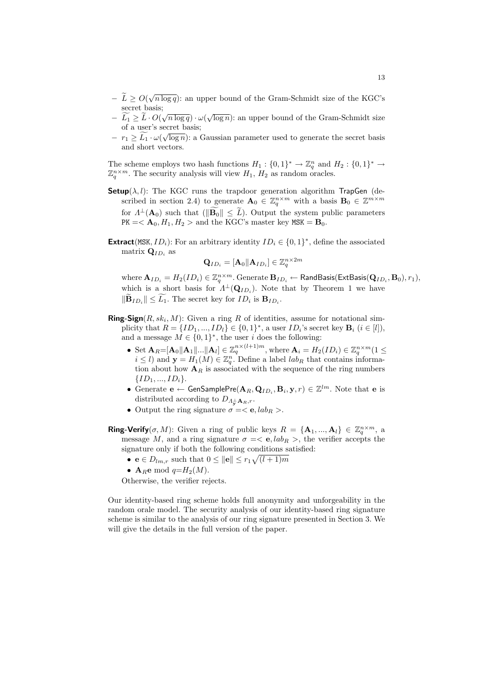- $-\tilde{L} \geq O(\sqrt{n \log q})$ : an upper bound of the Gram-Schmidt size of the KGC's secret basis;
- $-\widetilde{L_1} \geq \widetilde{L} \cdot O(\sqrt{n \log q}) \cdot \omega(\sqrt{\log n})$ : an upper bound of the Gram-Schmidt size of a user's secret basis;
- $r_1 \ge \widetilde{L_1} \cdot \omega(\sqrt{\log n})$ : a Gaussian parameter used to generate the secret basis and short vectors.

The scheme employs two hash functions  $H_1: \{0,1\}^* \to \mathbb{Z}_q^n$  and  $H_2: \{0,1\}^* \to$  $\mathbb{Z}_q^{n \times m}$ . The security analysis will view  $H_1$ ,  $H_2$  as random oracles.

- **Setup**( $\lambda$ , l): The KGC runs the trapdoor generation algorithm TrapGen (described in section 2.4) to generate  $\mathbf{A}_0 \in \mathbb{Z}_q^{n \times m}$  with a basis  $\mathbf{B}_0 \in \mathbb{Z}^{m \times m}$ for  $\Lambda^{\perp}(\mathbf{A}_0)$  such that  $(\|\widetilde{\mathbf{B}_0}\| \leq \widetilde{L})$ . Output the system public parameters  $PK = < \mathbf{A}_0, H_1, H_2 >$  and the KGC's master key  $MSK = \mathbf{B}_0$ .
- **Extract**(MSK, *ID<sub>i</sub>*): For an arbitrary identity  $ID_i \in \{0, 1\}^*$ , define the associated matrix  $\mathbf{Q}_{ID_i}$  as

$$
\mathbf{Q}_{ID_i} = [\mathbf{A}_0 \| \mathbf{A}_{ID_i}] \in \mathbb{Z}_q^{n \times 2m}
$$

where  $\mathbf{A}_{ID_i} = H_2(ID_i) \in \mathbb{Z}_q^{n \times m}$ . Generate  $\mathbf{B}_{ID_i} \leftarrow \mathsf{RandBasis}(\mathsf{ExtBasis}(\mathbf{Q}_{ID_i}, \mathbf{B}_0), r_1),$ which is a short basis for  $\Lambda^{\perp}(\mathbf{Q}_{ID_i})$ . Note that by Theorem 1 we have  $\|\widetilde{\mathbf{B}}_{ID_i}\| \leq \widetilde{L_1}$ . The secret key for  $ID_i$  is  $\mathbf{B}_{ID_i}$ .

- **Ring-Sign** $(R, sk_i, M)$ : Given a ring R of identities, assume for notational simplicity that  $R = \{ID_1, ..., ID_l\} \in \{0, 1\}^*$ , a user  $ID_i$ 's secret key  $\mathbf{B}_i$   $(i \in [l])$ , and a message  $M \in \{0,1\}^*$ , the user *i* does the following:
	- Set  $\mathbf{A}_R = [\mathbf{A}_0 || \mathbf{A}_1 || \dots || \mathbf{A}_l] \in \mathbb{Z}_q^{n \times (l+1)m}$ , where  $\mathbf{A}_i = H_2(ID_i) \in \mathbb{Z}_q^{n \times m}$  (1  $\leq$  $i \leq l$ ) and  $y = H_1(M) \in \mathbb{Z}_q^n$ . Define a label  $lab_R$  that contains information about how  $A_R$  is associated with the sequence of the ring numbers  $\{ID_1, ..., ID_i\}.$
	- Generate  $e \leftarrow$  GenSamplePre $(A_R, Q_{ID_i}, B_i, y, r) \in \mathbb{Z}^{lm}$ . Note that  $e$  is distributed according to  $D_{\Lambda_v^{\perp} \mathbf{A}_R,r}$ .
	- Output the ring signature  $\sigma = \langle e, lab_R \rangle$ .
- **Ring-Verify** $(\sigma, M)$ : Given a ring of public keys  $R = {\bf{A}_1, ..., A_1} \in \mathbb{Z}_q^{n \times m}$ , a message M, and a ring signature  $\sigma = \langle e, lab_R \rangle$ , the verifier accepts the signature only if both the following conditions satisfied:
	- $e \in D_{lm,r}$  such that  $0 \leq ||e|| \leq r_1 \sqrt{(l+1)m}$
	- A<sub>R</sub>e mod  $q=H_2(M)$ .

Otherwise, the verifier rejects.

Our identity-based ring scheme holds full anonymity and unforgeability in the random orale model. The security analysis of our identity-based ring signature scheme is similar to the analysis of our ring signature presented in Section 3. We will give the details in the full version of the paper.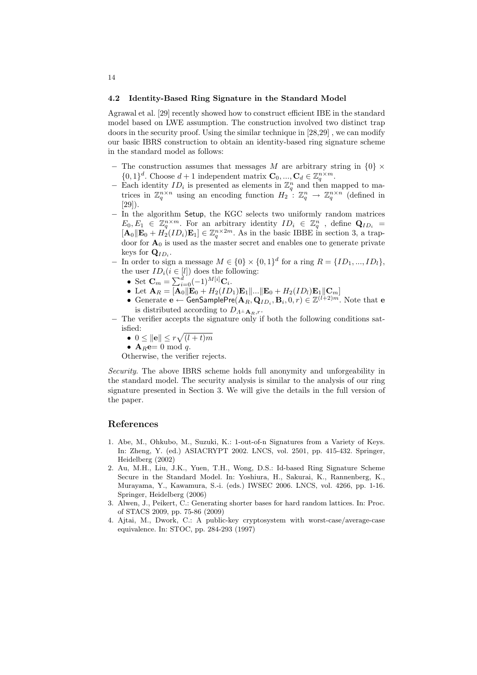#### 4.2 Identity-Based Ring Signature in the Standard Model

Agrawal et al. [29] recently showed how to construct efficient IBE in the standard model based on LWE assumption. The construction involved two distinct trap doors in the security proof. Using the similar technique in [28,29] , we can modify our basic IBRS construction to obtain an identity-based ring signature scheme in the standard model as follows:

- $-$  The construction assumes that messages M are arbitrary string in  $\{0\} \times$  $\{0,1\}^d$ . Choose  $d+1$  independent matrix  $\mathbf{C}_0, ..., \mathbf{C}_d \in \mathbb{Z}_q^{n \times m}$ .
- − Each identity  $ID_i$  is presented as elements in  $\mathbb{Z}_q^n$  and then mapped to matrices in  $\mathbb{Z}_q^{n \times n}$  using an encoding function  $H_2$ :  $\mathbb{Z}_q^n \to \mathbb{Z}_q^{n \times n}$  (defined in [29]).
- − In the algorithm Setup, the KGC selects two uniformly random matrices  $E_0, E_1 \in \mathbb{Z}_q^{n \times m}$ . For an arbitrary identity  $ID_i \in \mathbb{Z}_q^n$ , define  $\mathbf{Q}_{ID_i}$  $[\mathbf{A}_0 \|\mathbf{E}_0 + H_2(I_D) \mathbf{E}_1] \in \mathbb{Z}_q^{n \times 2m}$ . As in the basic IBBE in section 3, a trapdoor for  $\mathbf{A}_0$  is used as the master secret and enables one to generate private keys for  $\mathbf{Q}_{ID_i}$ .
- − In order to sign a message  $M \in \{0\} \times \{0,1\}^d$  for a ring  $R = \{ID_1, ..., ID_l\}$ , the user  $ID_i(i \in [l])$  does the following:
	- **•** Set  $\mathbf{C}_m = \sum_{i=0}^{d} (-1)^{M[i]} \mathbf{C}_i$ .
	- Let  $\mathbf{A}_R = [\mathbf{A}_0 || \mathbf{E}_0 + H_2(ID_1)\mathbf{E}_1 ||... || \mathbf{E}_0 + H_2(ID_l)\mathbf{E}_1 || \mathbf{C}_m]$
	- Generate  $\mathbf{e} \leftarrow \mathsf{GenSamplePre}(\mathbf{A}_R, \mathbf{Q}_{ID_i}, \mathbf{B}_i, 0, r) \in \mathbb{Z}^{(l+2)m}$ . Note that  $\mathbf{e}$ is distributed according to  $D_{A^\perp \mathbf{A}_R,r}.$
- − The verifier accepts the signature only if both the following conditions satisfied: p
	- $0 \leq ||\mathbf{e}|| \leq r$  $(l + t)m$
	- $\mathbf{A}_R \mathbf{e} = 0 \mod q$ .

Otherwise, the verifier rejects.

Security. The above IBRS scheme holds full anonymity and unforgeability in the standard model. The security analysis is similar to the analysis of our ring signature presented in Section 3. We will give the details in the full version of the paper.

# References

- 1. Abe, M., Ohkubo, M., Suzuki, K.: 1-out-of-n Signatures from a Variety of Keys. In: Zheng, Y. (ed.) ASIACRYPT 2002. LNCS, vol. 2501, pp. 415-432. Springer, Heidelberg (2002)
- 2. Au, M.H., Liu, J.K., Yuen, T.H., Wong, D.S.: Id-based Ring Signature Scheme Secure in the Standard Model. In: Yoshiura, H., Sakurai, K., Rannenberg, K., Murayama, Y., Kawamura, S.-i. (eds.) IWSEC 2006. LNCS, vol. 4266, pp. 1-16. Springer, Heidelberg (2006)
- 3. Alwen, J., Peikert, C.: Generating shorter bases for hard random lattices. In: Proc. of STACS 2009, pp. 75-86 (2009)
- 4. Ajtai, M., Dwork, C.: A public-key cryptosystem with worst-case/average-case equivalence. In: STOC, pp. 284-293 (1997)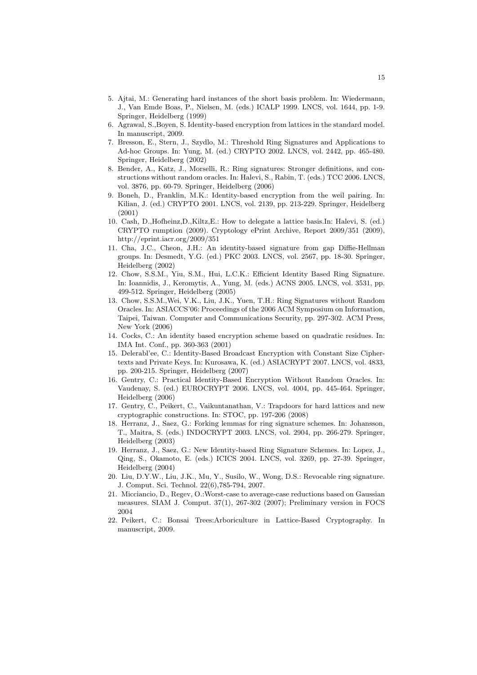- 5. Ajtai, M.: Generating hard instances of the short basis problem. In: Wiedermann, J., Van Emde Boas, P., Nielsen, M. (eds.) ICALP 1999. LNCS, vol. 1644, pp. 1-9. Springer, Heidelberg (1999)
- 6. Agrawal, S.,Boyen, S. Identity-based encryption from lattices in the standard model. In manuscript, 2009.
- 7. Bresson, E., Stern, J., Szydlo, M.: Threshold Ring Signatures and Applications to Ad-hoc Groups. In: Yung, M. (ed.) CRYPTO 2002. LNCS, vol. 2442, pp. 465-480. Springer, Heidelberg (2002)
- 8. Bender, A., Katz, J., Morselli, R.: Ring signatures: Stronger definitions, and constructions without random oracles. In: Halevi, S., Rabin, T. (eds.) TCC 2006. LNCS, vol. 3876, pp. 60-79. Springer, Heidelberg (2006)
- 9. Boneh, D., Franklin, M.K.: Identity-based encryption from the weil pairing. In: Kilian, J. (ed.) CRYPTO 2001. LNCS, vol. 2139, pp. 213-229. Springer, Heidelberg (2001)
- 10. Cash, D.,Hofheinz,D.,Kiltz,E.: How to delegate a lattice basis.In: Halevi, S. (ed.) CRYPTO rumption (2009). Cryptology ePrint Archive, Report 2009/351 (2009), http://eprint.iacr.org/2009/351
- 11. Cha, J.C., Cheon, J.H.: An identity-based signature from gap Diffie-Hellman groups. In: Desmedt, Y.G. (ed.) PKC 2003. LNCS, vol. 2567, pp. 18-30. Springer, Heidelberg (2002)
- 12. Chow, S.S.M., Yiu, S.M., Hui, L.C.K.: Efficient Identity Based Ring Signature. In: Ioannidis, J., Keromytis, A., Yung, M. (eds.) ACNS 2005. LNCS, vol. 3531, pp. 499-512. Springer, Heidelberg (2005)
- 13. Chow, S.S.M.,Wei, V.K., Liu, J.K., Yuen, T.H.: Ring Signatures without Random Oracles. In: ASIACCS'06: Proceedings of the 2006 ACM Symposium on Information, Taipei, Taiwan. Computer and Communications Security, pp. 297-302. ACM Press, New York (2006)
- 14. Cocks, C.: An identity based encryption scheme based on quadratic residues. In: IMA Int. Conf., pp. 360-363 (2001)
- 15. Delerabl'ee, C.: Identity-Based Broadcast Encryption with Constant Size Ciphertexts and Private Keys. In: Kurosawa, K. (ed.) ASIACRYPT 2007. LNCS, vol. 4833, pp. 200-215. Springer, Heidelberg (2007)
- 16. Gentry, C.: Practical Identity-Based Encryption Without Random Oracles. In: Vaudenay, S. (ed.) EUROCRYPT 2006. LNCS, vol. 4004, pp. 445-464. Springer, Heidelberg (2006)
- 17. Gentry, C., Peikert, C., Vaikuntanathan, V.: Trapdoors for hard lattices and new cryptographic constructions. In: STOC, pp. 197-206 (2008)
- 18. Herranz, J., Saez, G.: Forking lemmas for ring signature schemes. In: Johansson, T., Maitra, S. (eds.) INDOCRYPT 2003. LNCS, vol. 2904, pp. 266-279. Springer, Heidelberg (2003)
- 19. Herranz, J., Saez, G.: New Identity-based Ring Signature Schemes. In: Lopez, J., Qing, S., Okamoto, E. (eds.) ICICS 2004. LNCS, vol. 3269, pp. 27-39. Springer, Heidelberg (2004)
- 20. Liu, D.Y.W., Liu, J.K., Mu, Y., Susilo, W., Wong, D.S.: Revocable ring signature. J. Comput. Sci. Technol. 22(6),785-794, 2007.
- 21. Micciancio, D., Regev, O.:Worst-case to average-case reductions based on Gaussian measures. SIAM J. Comput. 37(1), 267-302 (2007); Preliminary version in FOCS 2004
- 22. Peikert, C.: Bonsai Trees:Arboriculture in Lattice-Based Cryptography. In manuscript, 2009.